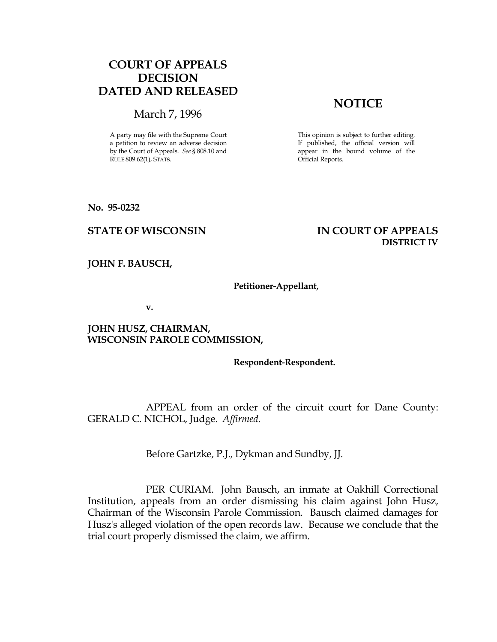# COURT OF APPEALS DECISION DATED AND RELEASED

## March 7, 1996

A party may file with the Supreme Court a petition to review an adverse decision by the Court of Appeals. See § 808.10 and RULE 809.62(1), STATS.

# **NOTICE**

This opinion is subject to further editing. If published, the official version will appear in the bound volume of the Official Reports.

No. 95-0232

## STATE OF WISCONSIN IN COURT OF APPEALS DISTRICT IV

JOHN F. BAUSCH,

#### Petitioner-Appellant,

v.

### JOHN HUSZ, CHAIRMAN, WISCONSIN PAROLE COMMISSION,

#### Respondent-Respondent.

 APPEAL from an order of the circuit court for Dane County: GERALD C. NICHOL, Judge. Affirmed.

Before Gartzke, P.J., Dykman and Sundby, JJ.

 PER CURIAM. John Bausch, an inmate at Oakhill Correctional Institution, appeals from an order dismissing his claim against John Husz, Chairman of the Wisconsin Parole Commission. Bausch claimed damages for Husz's alleged violation of the open records law. Because we conclude that the trial court properly dismissed the claim, we affirm.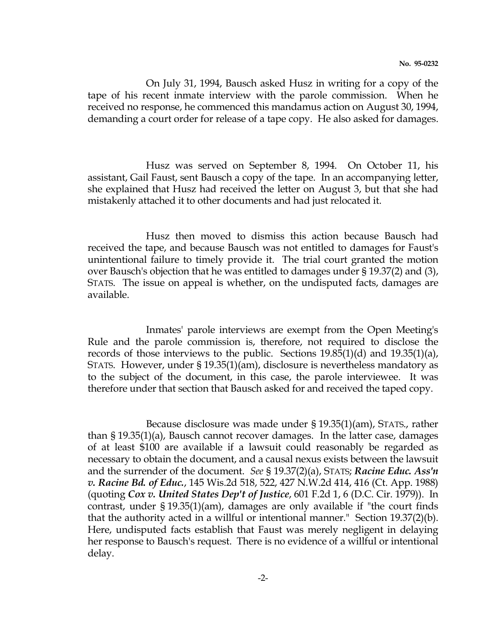On July 31, 1994, Bausch asked Husz in writing for a copy of the tape of his recent inmate interview with the parole commission. When he received no response, he commenced this mandamus action on August 30, 1994, demanding a court order for release of a tape copy. He also asked for damages.

 Husz was served on September 8, 1994. On October 11, his assistant, Gail Faust, sent Bausch a copy of the tape. In an accompanying letter, she explained that Husz had received the letter on August 3, but that she had mistakenly attached it to other documents and had just relocated it.

 Husz then moved to dismiss this action because Bausch had received the tape, and because Bausch was not entitled to damages for Faust's unintentional failure to timely provide it. The trial court granted the motion over Bausch's objection that he was entitled to damages under § 19.37(2) and (3), STATS. The issue on appeal is whether, on the undisputed facts, damages are available.

 Inmates' parole interviews are exempt from the Open Meeting's Rule and the parole commission is, therefore, not required to disclose the records of those interviews to the public. Sections 19.85(1)(d) and 19.35(1)(a), STATS. However, under § 19.35(1)(am), disclosure is nevertheless mandatory as to the subject of the document, in this case, the parole interviewee. It was therefore under that section that Bausch asked for and received the taped copy.

 Because disclosure was made under § 19.35(1)(am), STATS., rather than § 19.35(1)(a), Bausch cannot recover damages. In the latter case, damages of at least \$100 are available if a lawsuit could reasonably be regarded as necessary to obtain the document, and a causal nexus exists between the lawsuit and the surrender of the document. See § 19.37(2)(a), STATS; Racine Educ. Ass'n v. Racine Bd. of Educ., 145 Wis.2d 518, 522, 427 N.W.2d 414, 416 (Ct. App. 1988) (quoting Cox v. United States Dep't of Justice, 601 F.2d 1, 6 (D.C. Cir. 1979)). In contrast, under § 19.35(1)(am), damages are only available if "the court finds that the authority acted in a willful or intentional manner." Section 19.37(2)(b). Here, undisputed facts establish that Faust was merely negligent in delaying her response to Bausch's request. There is no evidence of a willful or intentional delay.